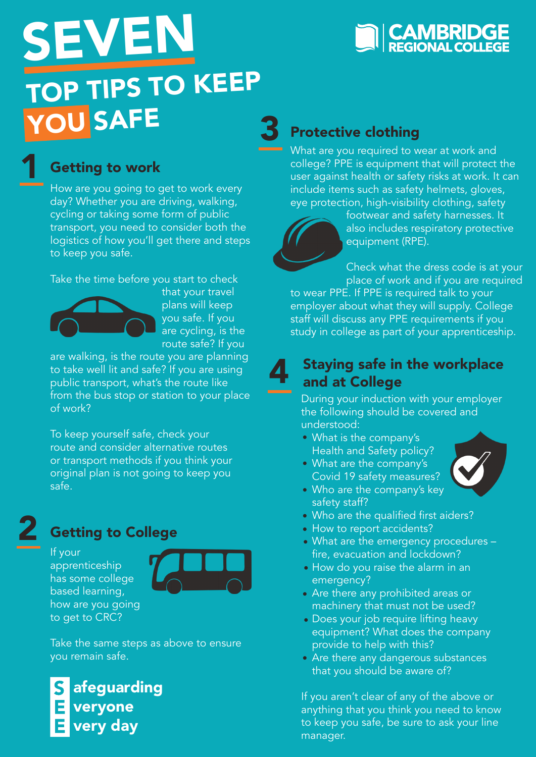

## TOP TIPS TO KEEP YOU SAFE 3 SEVEN

## 1

#### Getting to work

How are you going to get to work every day? Whether you are driving, walking, cycling or taking some form of public transport, you need to consider both the logistics of how you'll get there and steps to keep you safe.

Take the time before you start to check



that your travel plans will keep you safe. If you are cycling, is the route safe? If you

are walking, is the route you are planning to take well lit and safe? If you are using public transport, what's the route like from the bus stop or station to your place of work?

To keep yourself safe, check your route and consider alternative routes or transport methods if you think your original plan is not going to keep you safe.

# 2

### Getting to College

If your apprenticeship has some college based learning, how are you going to get to CRC?



Take the same steps as above to ensure you remain safe.

afeguarding veryone very day

### Protective clothing

What are you required to wear at work and college? PPE is equipment that will protect the user against health or safety risks at work. It can include items such as safety helmets, gloves, eye protection, high-visibility clothing, safety

4

footwear and safety harnesses. It also includes respiratory protective equipment (RPE).

Check what the dress code is at your place of work and if you are required

to wear PPE. If PPE is required talk to your employer about what they will supply. College staff will discuss any PPE requirements if you study in college as part of your apprenticeship.

#### Staying safe in the workplace and at College

During your induction with your employer the following should be covered and understood:

What is the company's Health and Safety policy? What are the company's



• Who are the company's key safety staff?

Covid 19 safety measures?

- Who are the qualified first aiders?
- How to report accidents?
- What are the emergency procedures fire, evacuation and lockdown?
- How do you raise the alarm in an emergency?
- Are there any prohibited areas or machinery that must not be used?
- Does your job require lifting heavy equipment? What does the company provide to help with this?
- Are there any dangerous substances that you should be aware of?

If you aren't clear of any of the above or anything that you think you need to know to keep you safe, be sure to ask your line manager.